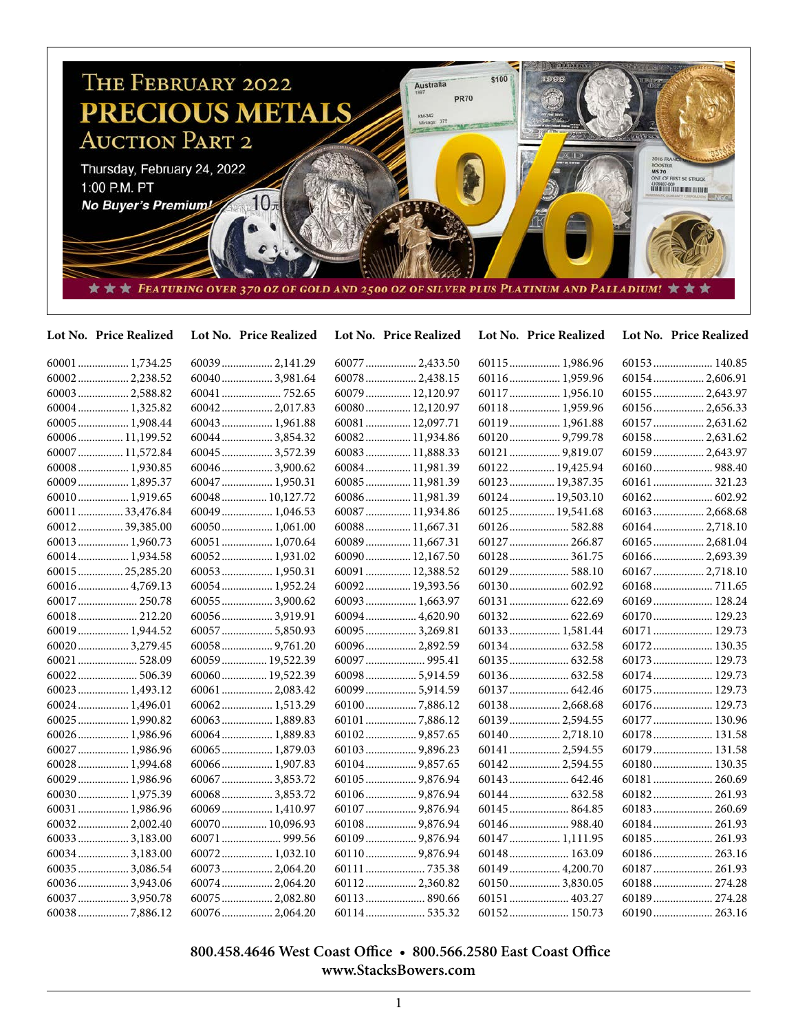

| Lot No. Price Realized | Lot No. Price Realized | Lot No. Price Realized | Lot No. Price Realized | Lot No. Price Realized |
|------------------------|------------------------|------------------------|------------------------|------------------------|
|                        | 60039 2,141.29         | 60077  2,433.50        | 60115 1,986.96         | 60153 140.85           |
| 600022,238.52          | 600403,981.64          | 60078  2,438.15        | 60116 1,959.96         | 60154  2,606.91        |
| 60003  2,588.82        |                        | 60079  12,120.97       | 60117  1,956.10        | 60155  2,643.97        |
| 60004 1,325.82         | 60042 2,017.83         | 60080 12,120.97        | 60118 1,959.96         | 60156 2,656.33         |
| 60005  1,908.44        | 60043 1,961.88         | 60081  12,097.71       | 60119 1,961.88         | 60157  2,631.62        |
| 60006 11,199.52        | 60044 3,854.32         | 60082 11,934.86        | 60120 9,799.78         | 60158 2,631.62         |
| 60007  11,572.84       | 60045  3,572.39        | 60083  11,888.33       | 60121  9,819.07        | 60159  2,643.97        |
| 60008 1,930.85         | 60046 3,900.62         | 60084 11,981.39        | 60122 19,425.94        |                        |
| 60009  1,895.37        | 60047  1,950.31        | 60085  11,981.39       | 60123  19,387.35       | 60161 321.23           |
| 60010 1,919.65         | 60048 10,127.72        | 60086 11,981.39        | 60124  19,503.10       |                        |
| 60011  33,476.84       | 60049 1,046.53         | 60087  11,934.86       | 60125  19,541.68       | 60163 2,668.68         |
| 6001239,385.00         | $60050$ 1,061.00       | 60088 11,667.31        |                        | 60164 2,718.10         |
| 60013  1,960.73        | 60051  1,070.64        | 60089 11,667.31        | 60127  266.87          | 60165  2,681.04        |
| 60014 1,934.58         | 60052 1,931.02         | 60090 12,167.50        | 60128 361.75           | 60166 2,693.39         |
| 60015  25,285.20       | 60053 1,950.31         | 60091  12,388.52       | 60129  588.10          | 60167  2,718.10        |
| 60016 4,769.13         | 60054 1,952.24         | 60092 19,393.56        |                        |                        |
| 60017  250.78          | $60055$ 3,900.62       | 60093  1,663.97        |                        | 60169 128.24           |
| 60018 212.20           | 600563,919.91          | 60094 4,620.90         |                        | 60170 129.23           |
| 60019 1,944.52         | $60057$ 5,850.93       | 60095  3,269.81        | 60133  1,581.44        | 60171  129.73          |
| 60020 3,279.45         |                        | 60096 2,892.59         |                        | 60172 130.35           |
| 60021  528.09          | 60059 19,522.39        |                        |                        | 60173  129.73          |
|                        | 60060 19,522.39        | 60098  5,914.59        |                        | 60174 129.73           |
| 60023  1,493.12        | 60061  2,083.42        | 60099  5,914.59        | 60137  642.46          | 60175  129.73          |
| 60024 1,496.01         | 60062 1,513.29         | 601007,886.12          | 60138 2,668.68         | 60176 129.73           |
| 60025  1,990.82        | 60063 1,889.83         |                        | 60139 2,594.55         | 60177  130.96          |
| 60026 1,986.96         | 60064 1,889.83         |                        |                        | 60178 131.58           |
| 60027  1,986.96        | 60065 1,879.03         |                        | 60141  2,594.55        | 60179  131.58          |
| 60028  1,994.68        | 60066 1,907.83         |                        | 60142 2,594.55         | 60180 130.35           |
| 60029  1,986.96        | 60067  3,853.72        | 60105  9,876.94        |                        | 60181  260.69          |
| 60030 1,975.39         | 60068 3,853.72         | 601069,876.94          |                        |                        |
| 60031  1,986.96        | 60069 1,410.97         |                        | 60145  864.85          | 60183  260.69          |
| 60032 2,002.40         | 60070 10,096.93        |                        | 60146 988.40           | 60184 261.93           |
| 60033  3,183.00        |                        | 60109  9,876.94        | 60147  1,111.95        | 60185  261.93          |
| 60034  3,183.00        | 60072 1,032.10         | 601109,876.94          | 60148 163.09           | 60186 263.16           |
| $60035$ 3,086.54       | 60073  2,064.20        |                        | 60149  4,200.70        | 60187  261.93          |
| 600363,943.06          | 60074 2,064.20         | 60112 2,360.82         | 60150 3,830.05         | 60188 274.28           |
| 60037  3,950.78        | 60075  2,082.80        | 60113 890.66           | 60151  403.27          | 60189 274.28           |
| 600387,886.12          | $60076$ 2.064.20       |                        | 60152 150.73           | 60190 263.16           |

## **800.458.4646 West Coast Office • 800.566.2580 East Coast Office www.StacksBowers.com**